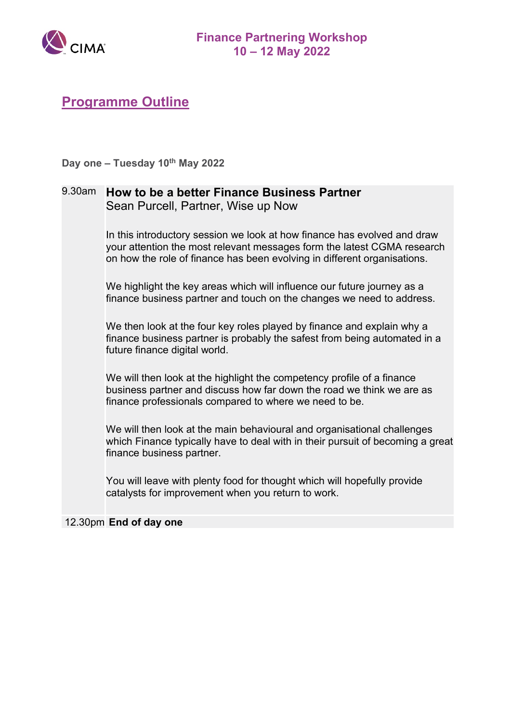

**Day one – Tuesday 10th May 2022**

### 9.30am **How to be a better Finance Business Partner** Sean Purcell, Partner, Wise up Now

In this introductory session we look at how finance has evolved and draw your attention the most relevant messages form the latest CGMA research on how the role of finance has been evolving in different organisations.

We highlight the key areas which will influence our future journey as a finance business partner and touch on the changes we need to address.

We then look at the four key roles played by finance and explain why a finance business partner is probably the safest from being automated in a future finance digital world.

We will then look at the highlight the competency profile of a finance business partner and discuss how far down the road we think we are as finance professionals compared to where we need to be.

We will then look at the main behavioural and organisational challenges which Finance typically have to deal with in their pursuit of becoming a great finance business partner.

You will leave with plenty food for thought which will hopefully provide catalysts for improvement when you return to work.

### 12.30pm **End of day one**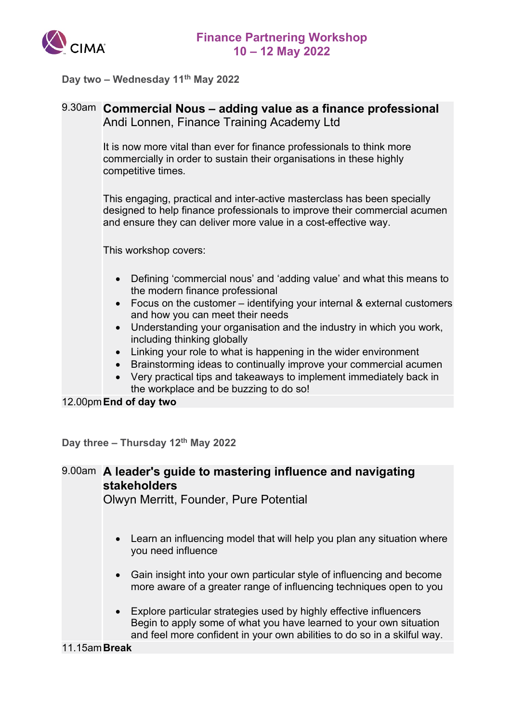

**Day two – Wednesday 11th May 2022**

## 9.30am **Commercial Nous – adding value as a finance professional** Andi Lonnen, Finance Training Academy Ltd

It is now more vital than ever for finance professionals to think more commercially in order to sustain their organisations in these highly competitive times.

This engaging, practical and inter-active masterclass has been specially designed to help finance professionals to improve their commercial acumen and ensure they can deliver more value in a cost-effective way.

This workshop covers:

- Defining 'commercial nous' and 'adding value' and what this means to the modern finance professional
- Focus on the customer identifying your internal & external customers and how you can meet their needs
- Understanding your organisation and the industry in which you work, including thinking globally
- Linking your role to what is happening in the wider environment
- Brainstorming ideas to continually improve your commercial acumen
- Very practical tips and takeaways to implement immediately back in the workplace and be buzzing to do so!

12.00pm**End of day two**

**Day three – Thursday 12th May 2022**

# 9.00am **A leader's guide to mastering influence and navigating stakeholders**

Olwyn Merritt, Founder, Pure Potential

- Learn an influencing model that will help you plan any situation where you need influence
- Gain insight into your own particular style of influencing and become more aware of a greater range of influencing techniques open to you
- Explore particular strategies used by highly effective influencers Begin to apply some of what you have learned to your own situation and feel more confident in your own abilities to do so in a skilful way.

### 11.15am**Break**